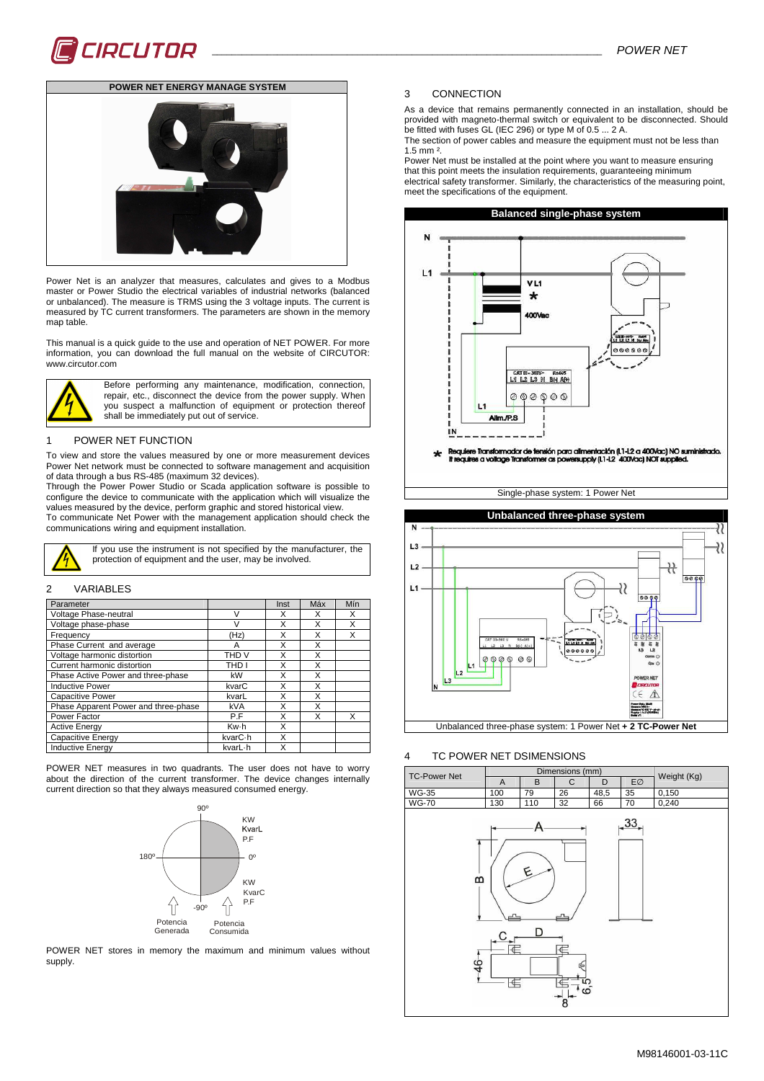

# **POWER NET ENERGY MANAGE SYSTEM**



Power Net is an analyzer that measures, calculates and gives to a Modbus master or Power Studio the electrical variables of industrial networks (balanced or unbalanced). The measure is TRMS using the 3 voltage inputs. The current is measured by TC current transformers. The parameters are shown in the memory map table.

This manual is a quick guide to the use and operation of NET POWER. For more information, you can download the full manual on the website of CIRCUTOR: www.circutor.com



Before performing any maintenance, modification, connection, repair, etc., disconnect the device from the power supply. When you suspect a malfunction of equipment or protection thereof shall be immediately put out of service.

#### 1 POWER NET FUNCTION

To view and store the values measured by one or more measurement devices Power Net network must be connected to software management and acquisition of data through a bus RS-485 (maximum 32 devices).

Through the Power Power Studio or Scada application software is possible to configure the device to communicate with the application which will visualize the values measured by the device, perform graphic and stored historical view. To communicate Net Power with the management application should check the

communications wiring and equipment installation.

### 2 VARIABLES

| Parameter                            |                  | Inst | Máx | Mín |
|--------------------------------------|------------------|------|-----|-----|
| Voltage Phase-neutral                | ν                |      |     | х   |
| Voltage phase-phase                  | V                | X    | X   | Χ   |
| Frequency                            | (Hz)             |      |     |     |
| Phase Current and average            | А                | x    | x   |     |
| Voltage harmonic distortion          | THD <sub>V</sub> | X    | X   |     |
| Current harmonic distortion          | THD I            | x    | x   |     |
| Phase Active Power and three-phase   | kW               |      |     |     |
| <b>Inductive Power</b>               | kvarC            | x    | x   |     |
| <b>Capacitive Power</b>              | kvarL            | X    | Χ   |     |
| Phase Apparent Power and three-phase | kVA              | X    | X   |     |
| Power Factor                         | P.F              | X    | x   | x   |
| <b>Active Energy</b>                 | Kw-h             | X    |     |     |
| Capacitive Energy                    | kvarC·h          | X    |     |     |
| <b>Inductive Energy</b>              | kvarL-h          |      |     |     |

POWER NET measures in two quadrants. The user does not have to worry about the direction of the current transformer. The device changes internally current direction so that they always measured consumed energy.



POWER NET stores in memory the maximum and minimum values without supply.

#### 3 CONNECTION

As a device that remains permanently connected in an installation, should be provided with magneto-thermal switch or equivalent to be disconnected. Should be fitted with fuses GL (IEC 296) or type M of 0.5 ... 2 A.

The section of power cables and measure the equipment must not be less than 1.5 mm ².

Power Net must be installed at the point where you want to measure ensuring that this point meets the insulation requirements, guaranteeing minimum electrical safety transformer. Similarly, the characteristics of the measuring point, meet the specifications of the equipment.



Single-phase system: 1 Power Net



#### 4 TC POWER NET DSIMENSIONS